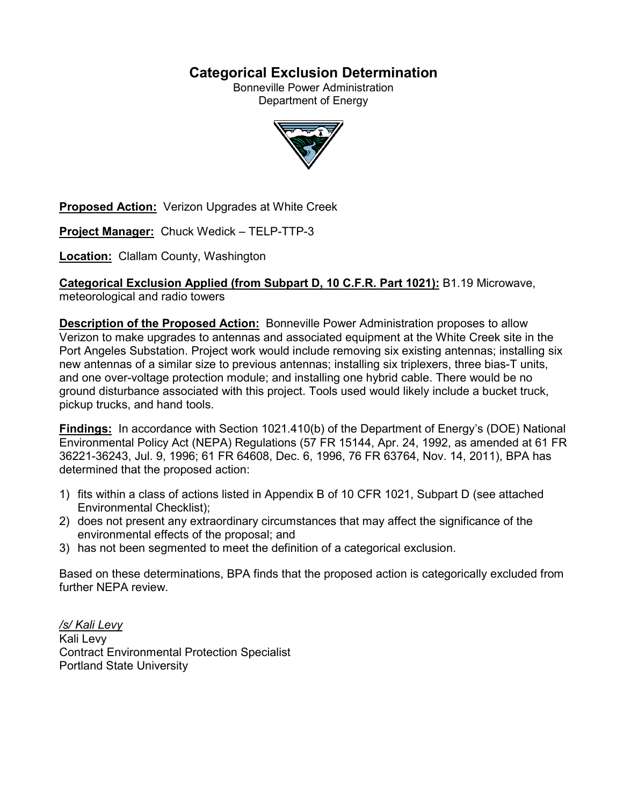# **Categorical Exclusion Determination**

Bonneville Power Administration Department of Energy



**Proposed Action:** Verizon Upgrades at White Creek

**Project Manager:** Chuck Wedick – TELP-TTP-3

**Location:** Clallam County, Washington

**Categorical Exclusion Applied (from Subpart D, 10 C.F.R. Part 1021):** B1.19 Microwave, meteorological and radio towers

**Description of the Proposed Action:** Bonneville Power Administration proposes to allow Verizon to make upgrades to antennas and associated equipment at the White Creek site in the Port Angeles Substation. Project work would include removing six existing antennas; installing six new antennas of a similar size to previous antennas; installing six triplexers, three bias-T units, and one over-voltage protection module; and installing one hybrid cable. There would be no ground disturbance associated with this project. Tools used would likely include a bucket truck, pickup trucks, and hand tools.

**Findings:** In accordance with Section 1021.410(b) of the Department of Energy's (DOE) National Environmental Policy Act (NEPA) Regulations (57 FR 15144, Apr. 24, 1992, as amended at 61 FR 36221-36243, Jul. 9, 1996; 61 FR 64608, Dec. 6, 1996, 76 FR 63764, Nov. 14, 2011), BPA has determined that the proposed action:

- 1) fits within a class of actions listed in Appendix B of 10 CFR 1021, Subpart D (see attached Environmental Checklist);
- 2) does not present any extraordinary circumstances that may affect the significance of the environmental effects of the proposal; and
- 3) has not been segmented to meet the definition of a categorical exclusion.

Based on these determinations, BPA finds that the proposed action is categorically excluded from further NEPA review.

*/s/ Kali Levy* Kali Levy Contract Environmental Protection Specialist Portland State University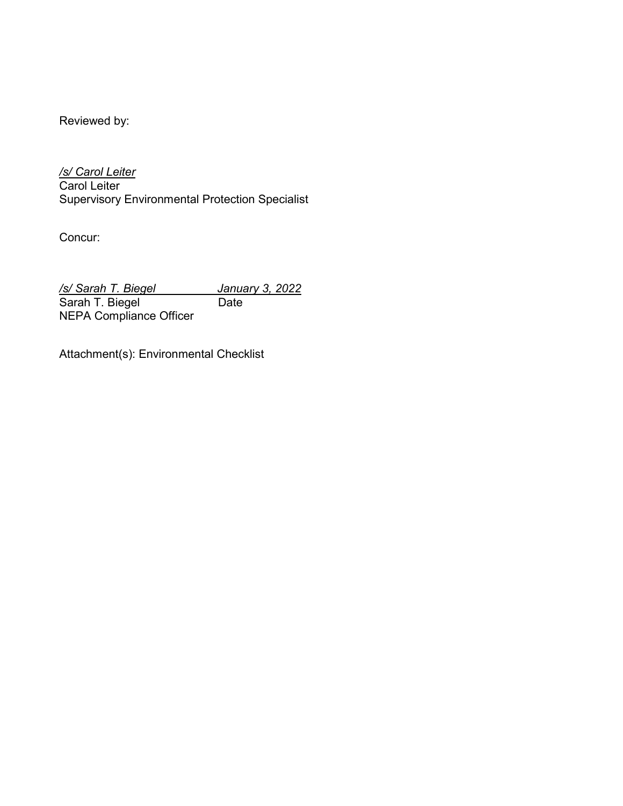Reviewed by:

*/s/ Carol Leiter* Carol Leiter Supervisory Environmental Protection Specialist

Concur:

*/s/ Sarah T. Biegel January 3, 2022* Sarah T. Biegel Date NEPA Compliance Officer

Attachment(s): Environmental Checklist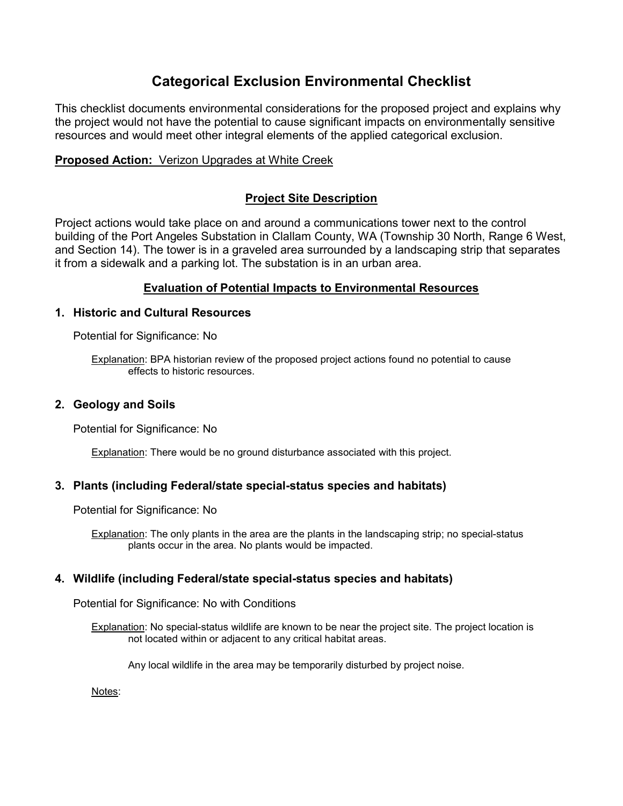# **Categorical Exclusion Environmental Checklist**

This checklist documents environmental considerations for the proposed project and explains why the project would not have the potential to cause significant impacts on environmentally sensitive resources and would meet other integral elements of the applied categorical exclusion.

## **Proposed Action:** Verizon Upgrades at White Creek

## **Project Site Description**

Project actions would take place on and around a communications tower next to the control building of the Port Angeles Substation in Clallam County, WA (Township 30 North, Range 6 West, and Section 14). The tower is in a graveled area surrounded by a landscaping strip that separates it from a sidewalk and a parking lot. The substation is in an urban area.

## **Evaluation of Potential Impacts to Environmental Resources**

## **1. Historic and Cultural Resources**

Potential for Significance: No

Explanation: BPA historian review of the proposed project actions found no potential to cause effects to historic resources.

## **2. Geology and Soils**

Potential for Significance: No

**Explanation:** There would be no ground disturbance associated with this project.

## **3. Plants (including Federal/state special-status species and habitats)**

Potential for Significance: No

Explanation: The only plants in the area are the plants in the landscaping strip; no special-status plants occur in the area. No plants would be impacted.

## **4. Wildlife (including Federal/state special-status species and habitats)**

Potential for Significance: No with Conditions

Explanation: No special-status wildlife are known to be near the project site. The project location is not located within or adjacent to any critical habitat areas.

Any local wildlife in the area may be temporarily disturbed by project noise.

Notes: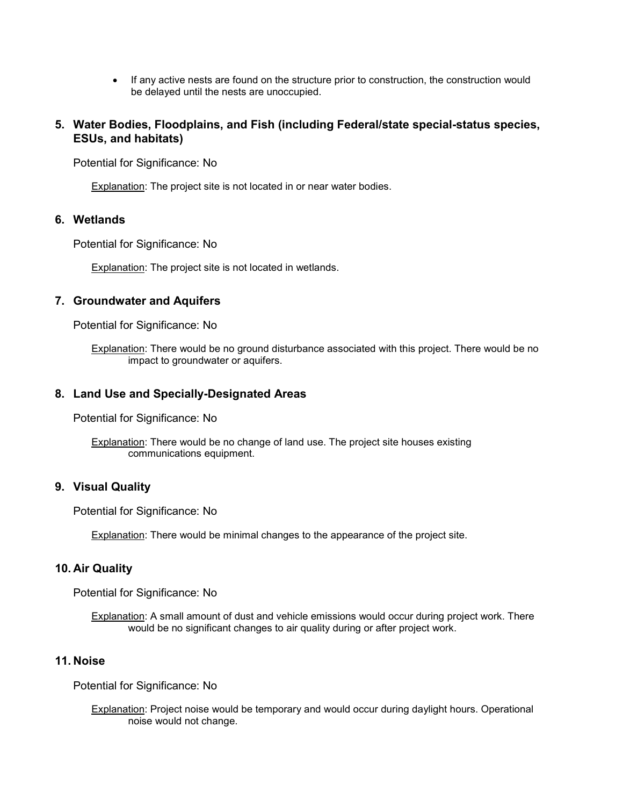• If any active nests are found on the structure prior to construction, the construction would be delayed until the nests are unoccupied.

## **5. Water Bodies, Floodplains, and Fish (including Federal/state special-status species, ESUs, and habitats)**

Potential for Significance: No

Explanation: The project site is not located in or near water bodies.

#### **6. Wetlands**

Potential for Significance: No

Explanation: The project site is not located in wetlands.

#### **7. Groundwater and Aquifers**

Potential for Significance: No

Explanation: There would be no ground disturbance associated with this project. There would be no impact to groundwater or aquifers.

#### **8. Land Use and Specially-Designated Areas**

Potential for Significance: No

**Explanation:** There would be no change of land use. The project site houses existing communications equipment.

#### **9. Visual Quality**

Potential for Significance: No

Explanation: There would be minimal changes to the appearance of the project site.

#### **10. Air Quality**

Potential for Significance: No

Explanation: A small amount of dust and vehicle emissions would occur during project work. There would be no significant changes to air quality during or after project work.

#### **11. Noise**

Potential for Significance: No

Explanation: Project noise would be temporary and would occur during daylight hours. Operational noise would not change.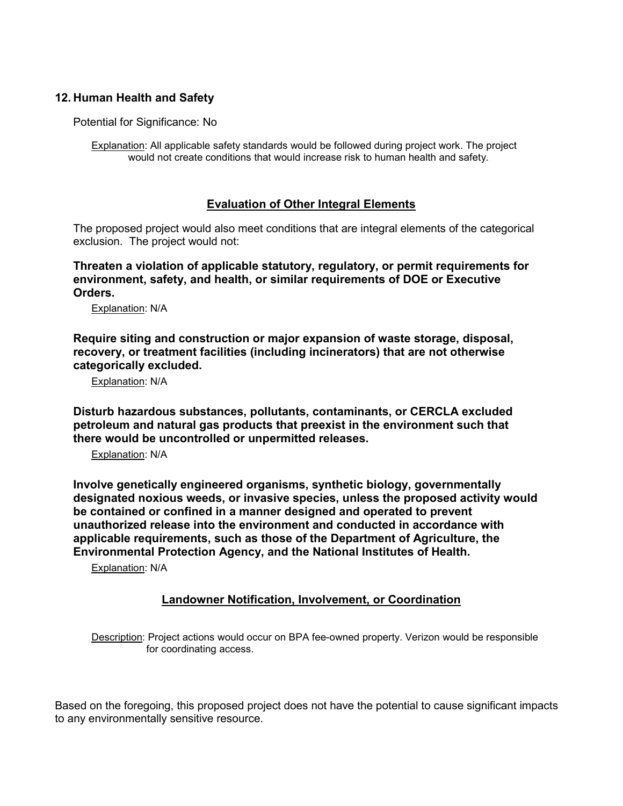## **12. Human Health and Safety**

Potential for Significance: No

Explanation: All applicable safety standards would be followed during project work. The project would not create conditions that would increase risk to human health and safety.

## **Evaluation of Other Integral Elements**

The proposed project would also meet conditions that are integral elements of the categorical exclusion. The project would not:

**Threaten a violation of applicable statutory, regulatory, or permit requirements for environment, safety, and health, or similar requirements of DOE or Executive Orders.**

Explanation: N/A

**Require siting and construction or major expansion of waste storage, disposal, recovery, or treatment facilities (including incinerators) that are not otherwise categorically excluded.**

Explanation: N/A

**Disturb hazardous substances, pollutants, contaminants, or CERCLA excluded petroleum and natural gas products that preexist in the environment such that there would be uncontrolled or unpermitted releases.**

Explanation: N/A

**Involve genetically engineered organisms, synthetic biology, governmentally designated noxious weeds, or invasive species, unless the proposed activity would be contained or confined in a manner designed and operated to prevent unauthorized release into the environment and conducted in accordance with applicable requirements, such as those of the Department of Agriculture, the Environmental Protection Agency, and the National Institutes of Health.**

Explanation: N/A

## **Landowner Notification, Involvement, or Coordination**

Description: Project actions would occur on BPA fee-owned property. Verizon would be responsible for coordinating access.

Based on the foregoing, this proposed project does not have the potential to cause significant impacts to any environmentally sensitive resource.